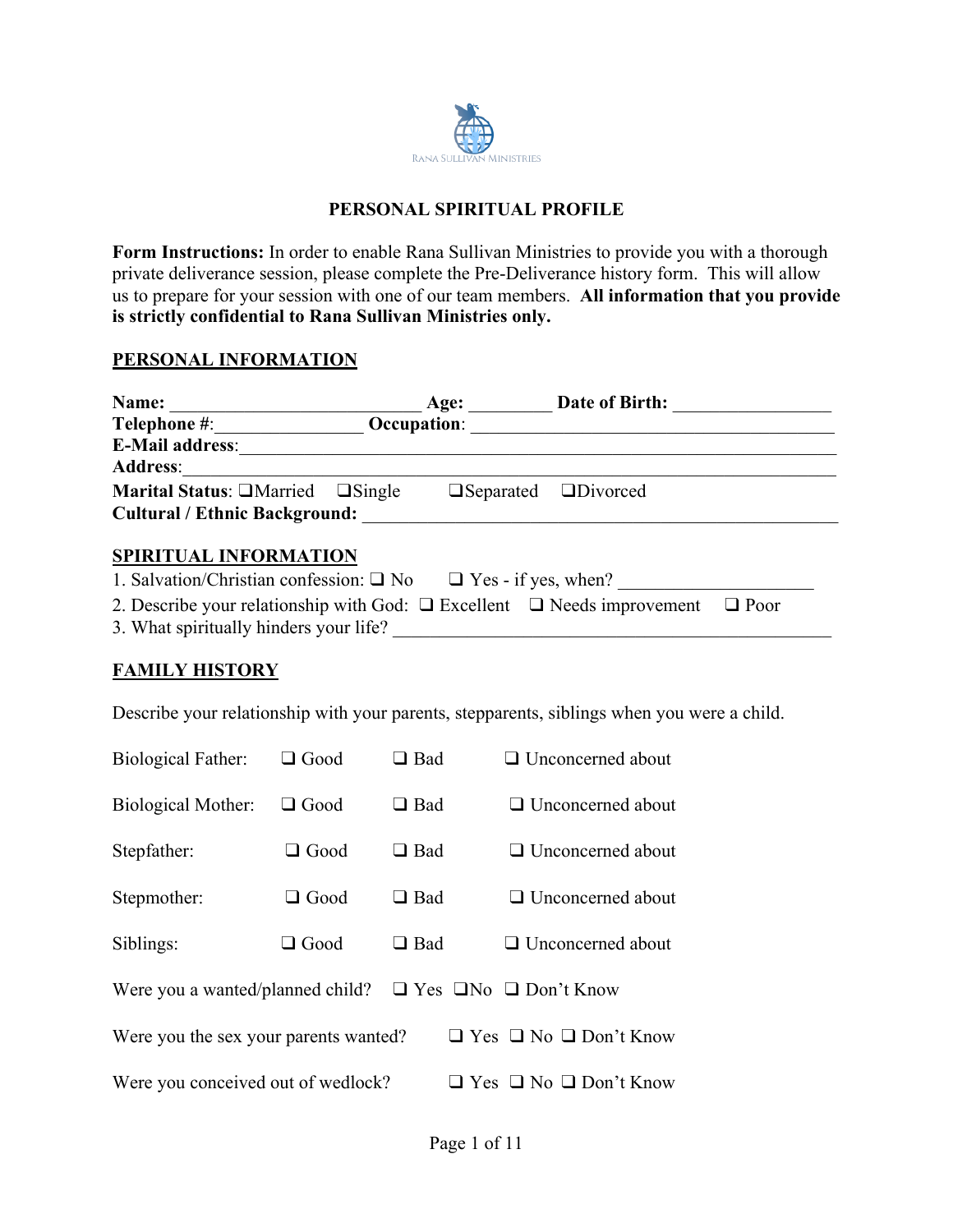

## **PERSONAL SPIRITUAL PROFILE**

**Form Instructions:** In order to enable Rana Sullivan Ministries to provide you with a thorough private deliverance session, please complete the Pre-Deliverance history form. This will allow us to prepare for your session with one of our team members. **All information that you provide is strictly confidential to Rana Sullivan Ministries only.**

### **PERSONAL INFORMATION**

| Name:                                                                                                                                                                                                                                                                                                                                                 |             |                    | Age: Date of Birth:                                                                                                   |  |  |
|-------------------------------------------------------------------------------------------------------------------------------------------------------------------------------------------------------------------------------------------------------------------------------------------------------------------------------------------------------|-------------|--------------------|-----------------------------------------------------------------------------------------------------------------------|--|--|
| Telephone #: <u>_______________________</u>                                                                                                                                                                                                                                                                                                           |             | <b>Occupation:</b> | <u> 1980 - Jan Barbara, margaret eta biztanleria (h. 1980).</u>                                                       |  |  |
|                                                                                                                                                                                                                                                                                                                                                       |             |                    | E-Mail address:<br><u>E</u> -Mail address:                                                                            |  |  |
| <b>Address:</b>                                                                                                                                                                                                                                                                                                                                       |             |                    |                                                                                                                       |  |  |
| <b>Marital Status:</b> $\Box$ Married $\Box$ Single                                                                                                                                                                                                                                                                                                   |             |                    | $\Box$ Separated $\Box$ Divorced                                                                                      |  |  |
| Cultural / Ethnic Background:                                                                                                                                                                                                                                                                                                                         |             |                    | <u> 1989 - Andrea State Barbara, amerikan personal di sebagai personal di sebagai personal di sebagai personal di</u> |  |  |
| SPIRITUAL INFORMATION<br>1. Salvation/Christian confession: $\Box$ No $\Box$ Yes - if yes, when?<br>2. Describe your relationship with God: $\Box$ Excellent $\Box$ Needs improvement<br>$\Box$ Poor<br>3. What spiritually hinders your life?<br>the control of the control of the control of the control of the control of<br><b>FAMILY HISTORY</b> |             |                    |                                                                                                                       |  |  |
| Describe your relationship with your parents, stepparents, siblings when you were a child.                                                                                                                                                                                                                                                            |             |                    |                                                                                                                       |  |  |
| Biological Father:                                                                                                                                                                                                                                                                                                                                    | $\Box$ Good | $\Box$ Bad         | $\Box$ Unconcerned about                                                                                              |  |  |
| Biological Mother:                                                                                                                                                                                                                                                                                                                                    | $\Box$ Good | $\Box$ Bad         | $\Box$ Unconcerned about                                                                                              |  |  |

- Stepfather:  $□$  Good  $□$  Bad  $□$  Unconcerned about
- Stepmother:  $□$  Good  $□$  Bad  $□$  Unconcerned about
- Siblings:  $□$  Good  $□$  Bad  $□$  Unconcerned about
- Were you a wanted/planned child?  $□$  Yes  $□$ No  $□$  Don't Know
- Were you the sex your parents wanted?  $\Box$  Yes  $\Box$  No  $\Box$  Don't Know
- Were you conceived out of wedlock?  $\Box$  Yes  $\Box$  No  $\Box$  Don't Know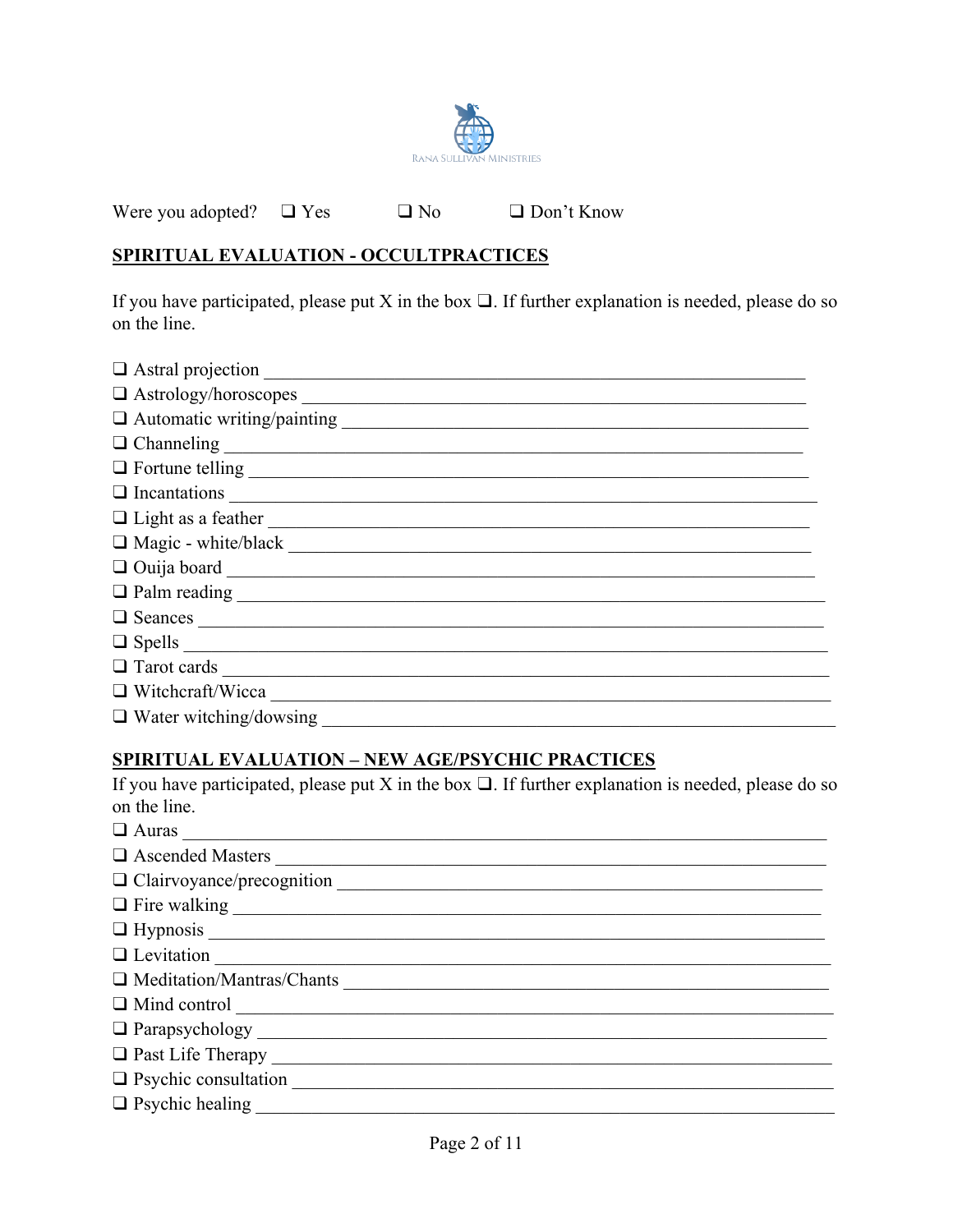

Were you adopted?  $\Box$  Yes □ Don't Know  $\Box$  No

# SPIRITUAL EVALUATION - OCCULTPRACTICES

If you have participated, please put X in the box  $\Box$ . If further explanation is needed, please do so on the line.

| $\Box$ Astral projection      |
|-------------------------------|
| $\Box$ Astrology/horoscopes   |
|                               |
|                               |
|                               |
| $\Box$ Incantations           |
| □ Light as a feather          |
| $\Box$ Magic - white/black    |
|                               |
|                               |
| $\Box$ Seances $\Box$         |
|                               |
| $\Box$ Tarot cards            |
| $\Box$ Witchcraft/Wicca       |
| $\Box$ Water witching/dowsing |

# **SPIRITUAL EVALUATION - NEW AGE/PSYCHIC PRACTICES**

If you have participated, please put X in the box  $\square$ . If further explanation is needed, please do so on the line.

| $\Box$ Auras $\Box$         |
|-----------------------------|
| □ Ascended Masters          |
|                             |
| $\Box$ Fire walking         |
|                             |
| Q Levitation                |
| O Meditation/Mantras/Chants |
|                             |
|                             |
|                             |
| Psychic consultation        |
| □ Psychic healing           |
|                             |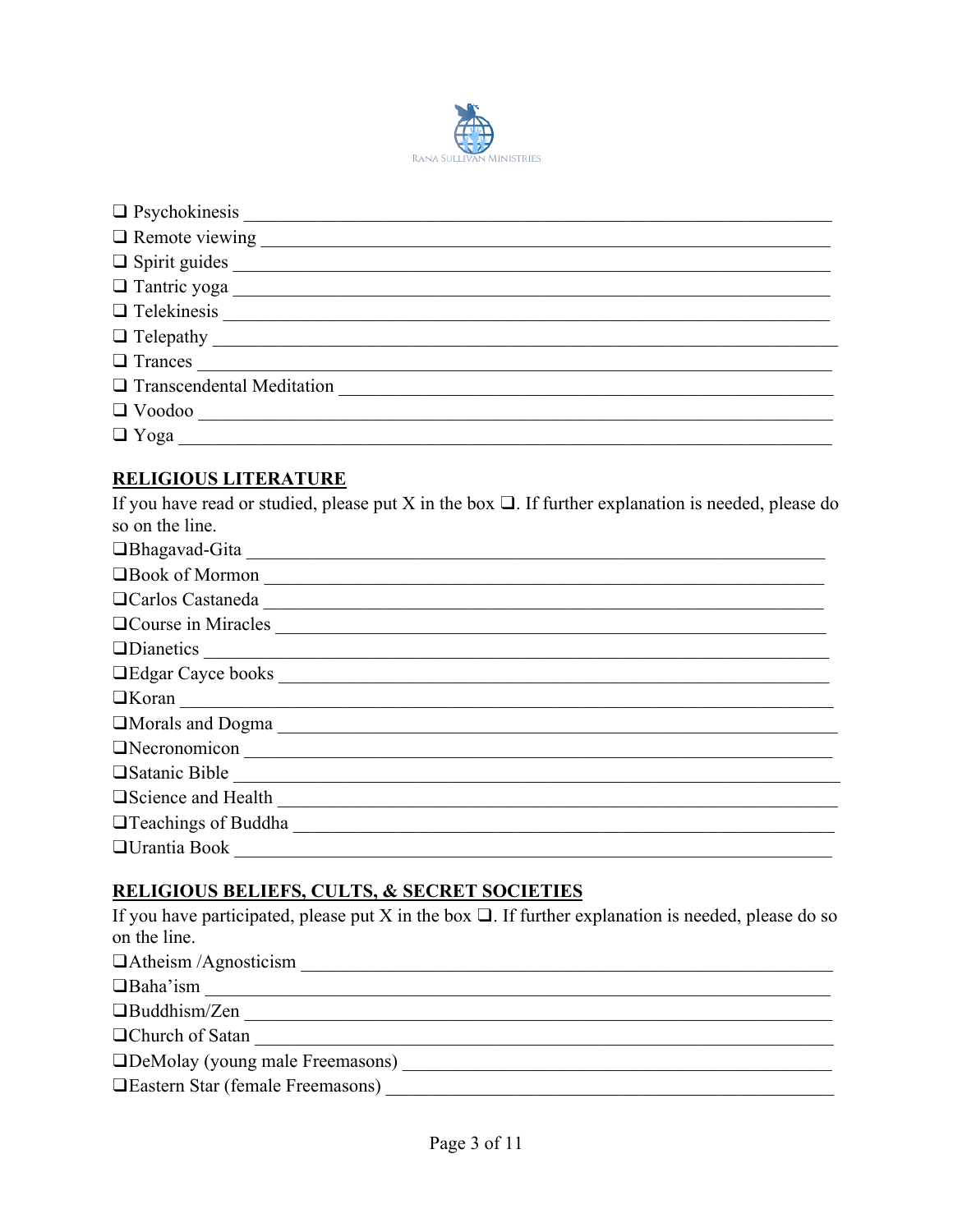

| $\Box$ Psychokinesis $\Box$      |
|----------------------------------|
| $\Box$ Remote viewing            |
| $\Box$ Spirit guides             |
| Tantric yoga                     |
|                                  |
|                                  |
| $\Box$ Trances                   |
| $\Box$ Transcendental Meditation |
| $\Box$ Voodoo                    |
| $\Box$ Yoga                      |

## **RELIGIOUS LITERATURE**

If you have read or studied, please put X in the box  $\Box$ . If further explanation is needed, please do so on the line.

| <b>OBhagavad-Gita</b>                                                                                                                                                                                                          |
|--------------------------------------------------------------------------------------------------------------------------------------------------------------------------------------------------------------------------------|
| Book of Mormon                                                                                                                                                                                                                 |
| Ocarlos Castaneda Castaneda Castaneda Castaneda Castaneda Castaneda Castaneda Castaneda Castaneda Castaneda Castaneda Castaneda Castaneda Castaneda Castaneda Castaneda Castaneda Castaneda Castaneda Castaneda Castaneda Cast |
| OCourse in Miracles                                                                                                                                                                                                            |
|                                                                                                                                                                                                                                |
| LEdgar Cayce books                                                                                                                                                                                                             |
| $\boxed{\textbf{Koran}}$                                                                                                                                                                                                       |
| Morals and Dogma                                                                                                                                                                                                               |
| Necronomicon                                                                                                                                                                                                                   |
| Satanic Bible Charles and Charles and Charles and Charles and Charles and Charles and Charles and Charles and Charles and Charles and Charles and Charles and Charles and Charles and Charles and Charles and Charles and Char |
| Socience and Health                                                                                                                                                                                                            |
| Teachings of Buddha Teachings of Buddha                                                                                                                                                                                        |
| $\Box$ Urantia Book                                                                                                                                                                                                            |

# RELIGIOUS BELIEFS, CULTS, & SECRET SOCIETIES

If you have participated, please put X in the box  $\square$ . If further explanation is needed, please do so on the line.

| $\Box$ Atheism /Agnosticism        |
|------------------------------------|
| $\Box$ Baha'ism                    |
| $\Box$ Buddhism/Zen                |
| □ Church of Satan                  |
| □DeMolay (young male Freemasons)   |
| □ Eastern Star (female Freemasons) |
|                                    |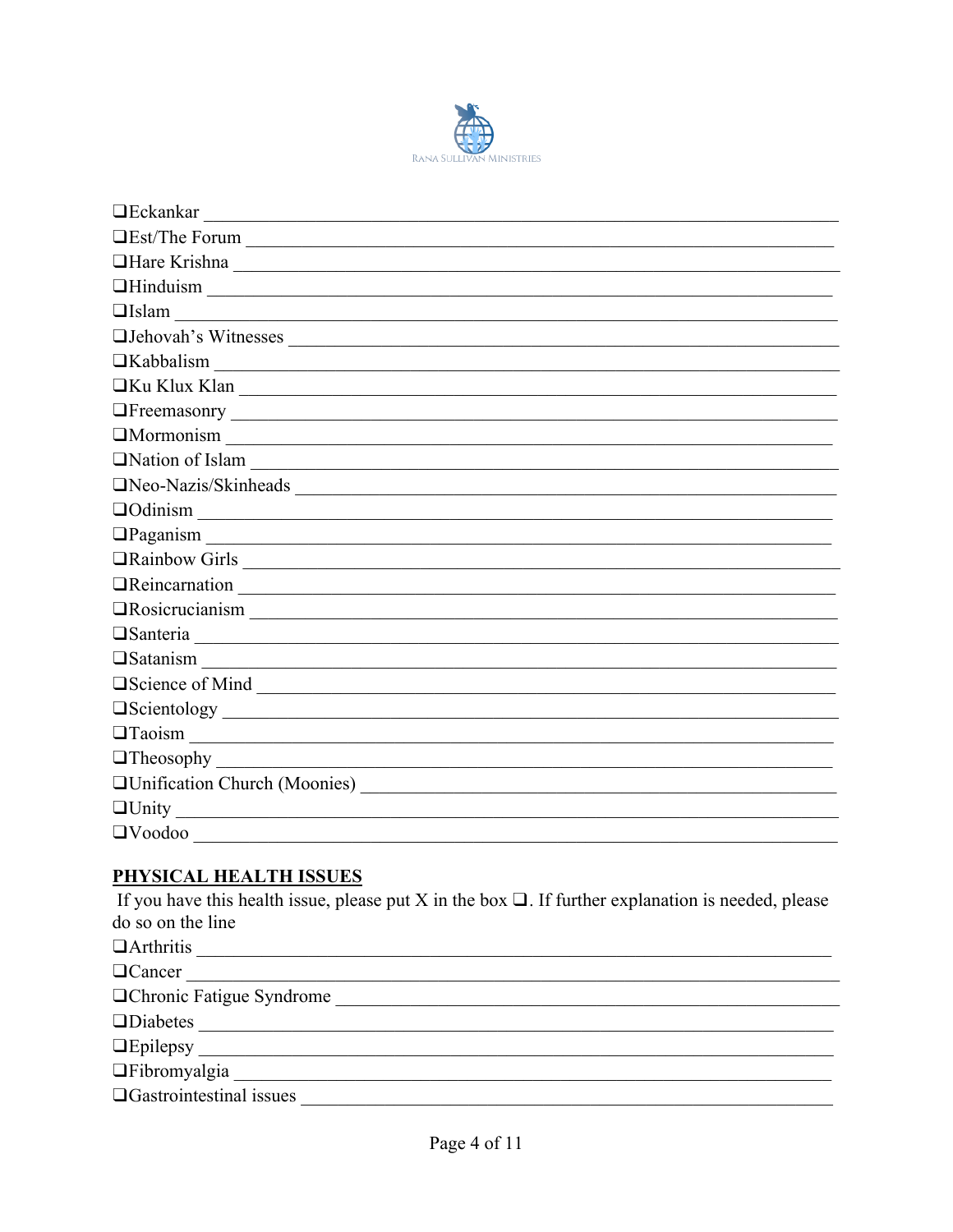

| $\Box$ Eckankar                                                                                                                                                                                                                                          |
|----------------------------------------------------------------------------------------------------------------------------------------------------------------------------------------------------------------------------------------------------------|
| LEst/The Forum                                                                                                                                                                                                                                           |
| Hare Krishna                                                                                                                                                                                                                                             |
| $\Box$ Hinduism $\Box$                                                                                                                                                                                                                                   |
| $\Box$ Islam                                                                                                                                                                                                                                             |
| UJehovah's Witnesses                                                                                                                                                                                                                                     |
| Kabbalism                                                                                                                                                                                                                                                |
| $\Box$ Ku Klux Klan                                                                                                                                                                                                                                      |
| <b>The Execution Section 2018 Contract Contract Contract Contract Contract Contract Contract Contract Contract Contract Contract Contract Contract Contract Contract Contract Contract Contract Contract Contract Contract Con</b>                       |
| $\boxed{\text{Mormonism}}$                                                                                                                                                                                                                               |
| Nation of Islam                                                                                                                                                                                                                                          |
| Neo-Nazis/Skinheads                                                                                                                                                                                                                                      |
| $\Box$ Odinism<br><u> 1989 - Johann Stoff, fransk politik (d. 1989)</u>                                                                                                                                                                                  |
|                                                                                                                                                                                                                                                          |
| <b>The Theorem Contract Contract Contract Contract Contract Contract Contract Contract Contract Contract Contract Contract Contract Contract Contract Contract Contract Contract Contract Contract Contract Contract Contract Co</b>                     |
| <b>OReincarnation</b>                                                                                                                                                                                                                                    |
| <b>The Theorem Contract Contract Contract Contract Contract Contract Contract Contract Contract Contract Contract Contract Contract Contract Contract Contract Contract Contract Contract Contract Contract Contract Contract Co</b>                     |
|                                                                                                                                                                                                                                                          |
|                                                                                                                                                                                                                                                          |
| Socience of Mind<br>Science of Mind<br>Science of Mind<br>Science of Mind<br>Science of Mind<br>Science of Mind<br>Science of Mind<br>Science of Mind<br>Science of Mind<br>Science of Mind<br>Science of Mind<br>Science of Mind<br>Science of Mind<br> |
|                                                                                                                                                                                                                                                          |
| $\boxed{\text{Taoism}}$                                                                                                                                                                                                                                  |
|                                                                                                                                                                                                                                                          |
|                                                                                                                                                                                                                                                          |
| $\Box$ Unity                                                                                                                                                                                                                                             |
| $\Box$ Voodoo                                                                                                                                                                                                                                            |

### PHYSICAL HEALTH ISSUES

If you have this health issue, please put X in the box  $\Box$ . If further explanation is needed, please do so on the line OArthritis  $\Box$ Cancer <u> 1989 - Jan James James James James James James James James James James James James James James James James J</u> Ochronic Fatigue Syndrome Tabromyalgia OGastrointestinal issues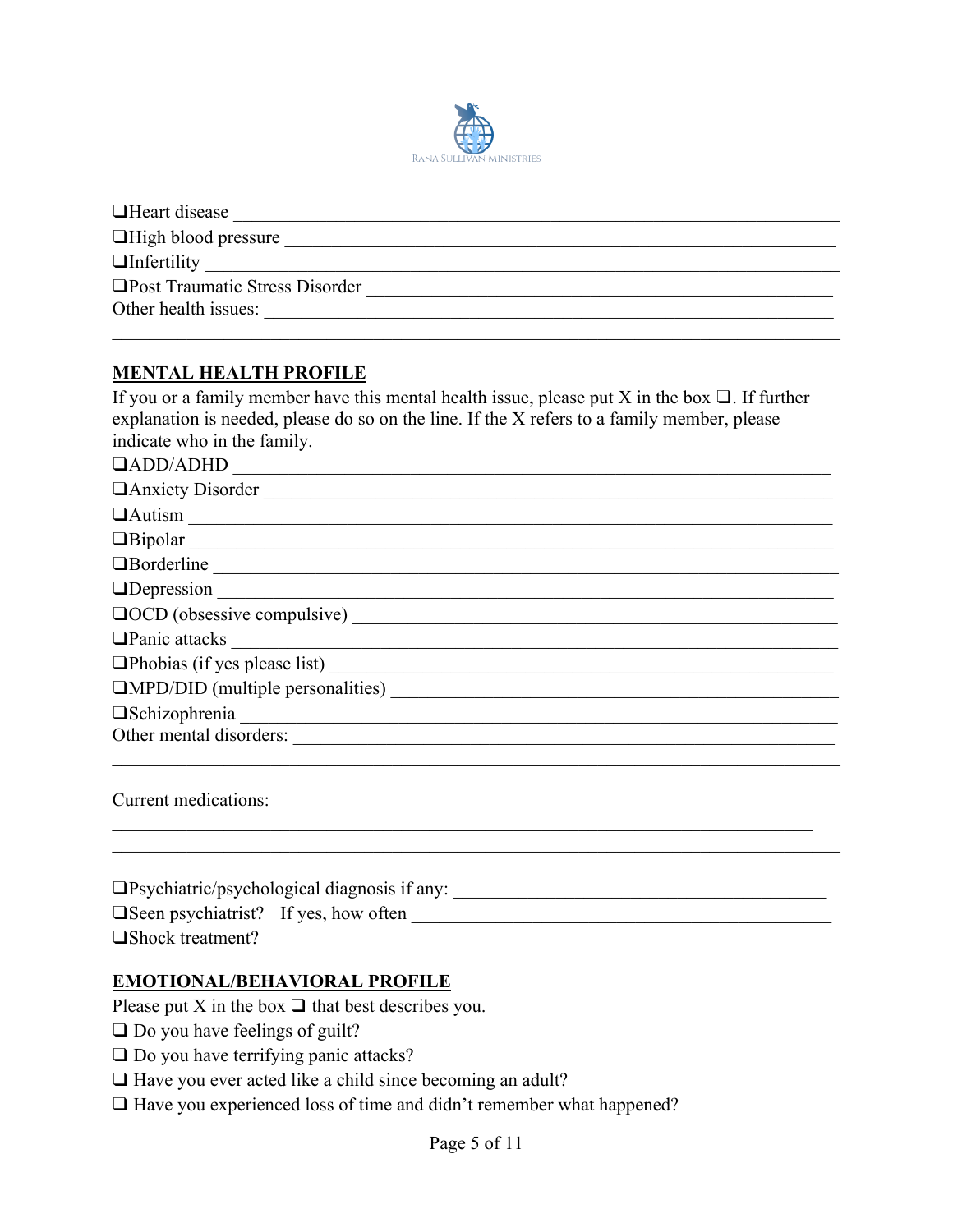

| $\Box$ Heart disease            |
|---------------------------------|
| $\Box$ High blood pressure      |
| $\Box$ Infertility              |
| □Post Traumatic Stress Disorder |
| Other health issues:            |
|                                 |

## **MENTAL HEALTH PROFILE**

If you or a family member have this mental health issue, please put X in the box  $\Box$ . If further explanation is needed, please do so on the line. If the X refers to a family member, please indicate who in the family.

| QADD/ADHD                   |
|-----------------------------|
| DAnxiety Disorder           |
| $\boxed{\text{Autism}}$     |
| Bipolar                     |
| Borderline                  |
|                             |
| QOCD (obsessive compulsive) |
|                             |
|                             |
|                             |
|                             |
| Other mental disorders:     |
|                             |

Current medications:

| $\Box$ Psychiatric/psychological diagnosis if any: |  |
|----------------------------------------------------|--|
| $\Box$ Seen psychiatrist? If yes, how often        |  |
| $\Box$ Shock treatment?                            |  |

 $\_$  , and the contribution of the contribution of the contribution of the contribution of  $\mathcal{L}_\text{max}$ 

#### **EMOTIONAL/BEHAVIORAL PROFILE**

Please put X in the box  $\Box$  that best describes you.

- □ Do you have feelings of guilt?
- □ Do you have terrifying panic attacks?
- □ Have you ever acted like a child since becoming an adult?
- ❑ Have you experienced loss of time and didn't remember what happened?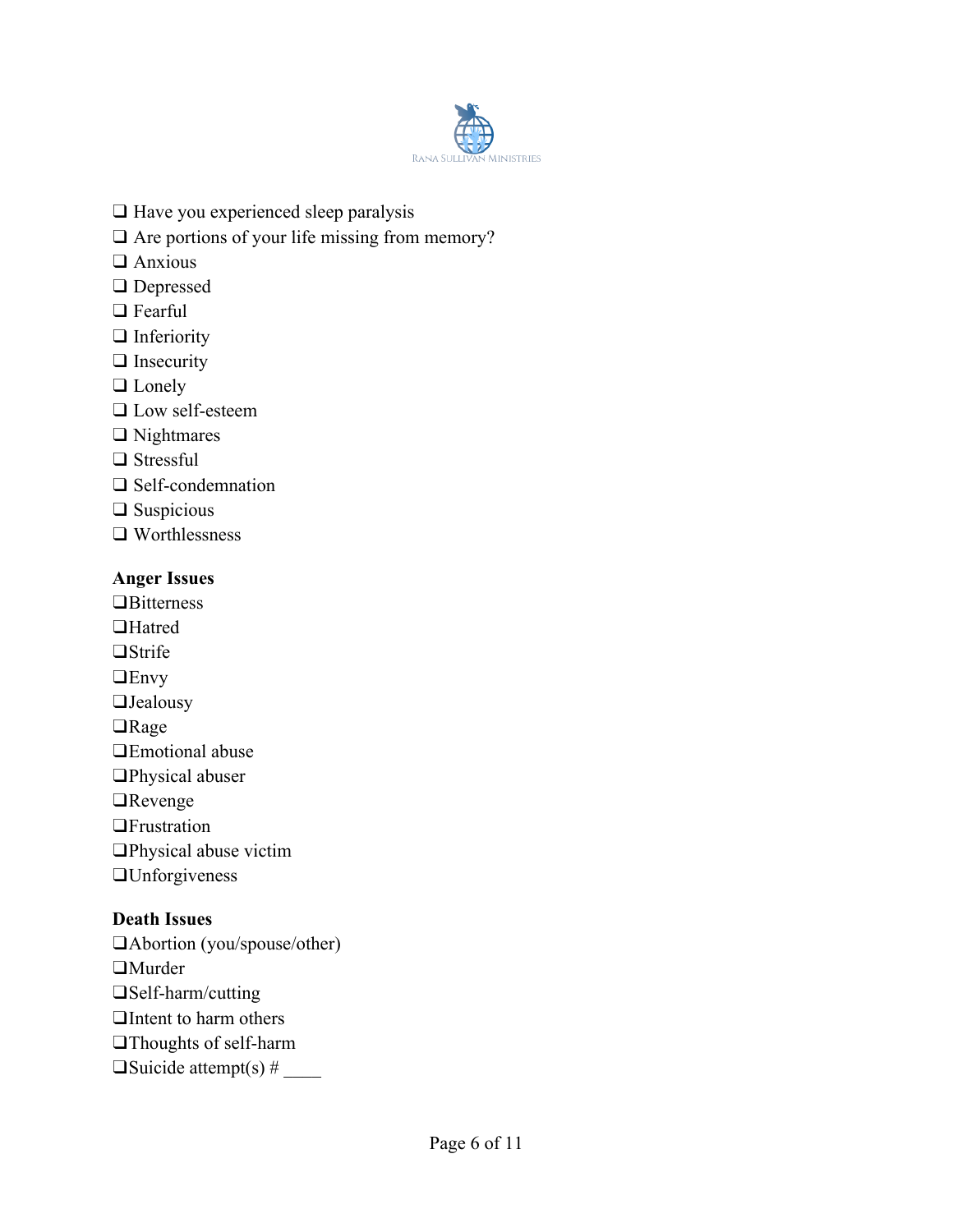

- ❑ Have you experienced sleep paralysis
- □ Are portions of your life missing from memory?
- ❑ Anxious
- ❑ Depressed
- ❑ Fearful
- ❑ Inferiority
- ❑ Insecurity
- ❑ Lonely
- ❑ Low self-esteem
- ❑ Nightmares
- ❑ Stressful
- ❑ Self-condemnation
- ❑ Suspicious
- ❑ Worthlessness

#### **Anger Issues**

❑Bitterness ❑Hatred ❑Strife ❑Envy ❑Jealousy ❑Rage ❑Emotional abuse ❑Physical abuser ❑Revenge ❑Frustration ❑Physical abuse victim ❑Unforgiveness

### **Death Issues**

❑Abortion (you/spouse/other) ❑Murder ❑Self-harm/cutting ❑Intent to harm others ❑Thoughts of self-harm  $\Box$ Suicide attempt(s) #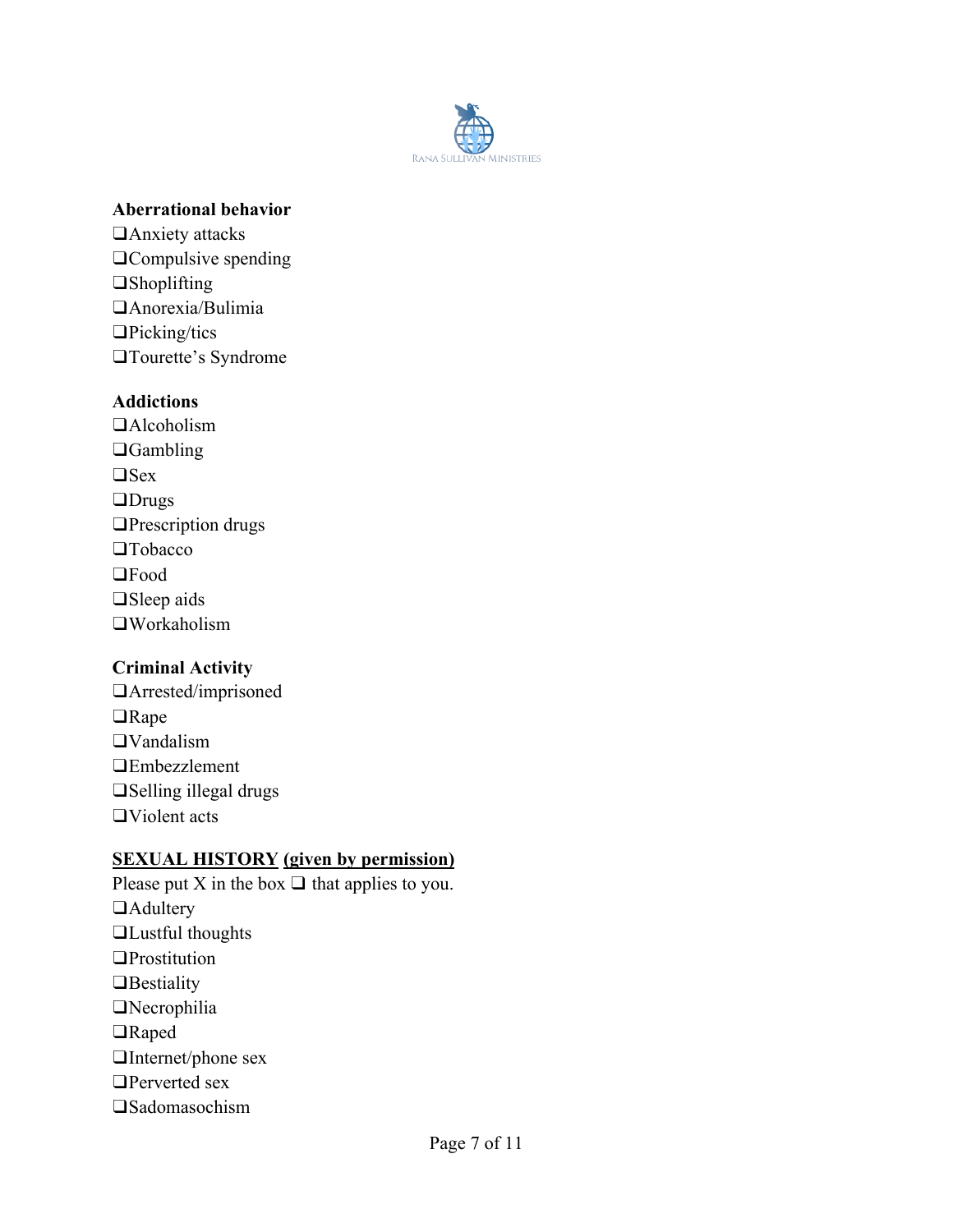

#### **Aberrational behavior**

❑Anxiety attacks ❑Compulsive spending ❑Shoplifting ❑Anorexia/Bulimia ❑Picking/tics ❑Tourette's Syndrome

### **Addictions**

❑Alcoholism ❑Gambling ❑Sex ❑Drugs ❑Prescription drugs ❑Tobacco ❑Food ❑Sleep aids ❑Workaholism

### **Criminal Activity**

❑Arrested/imprisoned ❑Rape ❑Vandalism ❑Embezzlement ❑Selling illegal drugs ❑Violent acts

## **SEXUAL HISTORY (given by permission)**

Please put X in the box  $\Box$  that applies to you. ❑Adultery ❑Lustful thoughts ❑Prostitution ❑Bestiality ❑Necrophilia ❑Raped ❑Internet/phone sex ❑Perverted sex ❑Sadomasochism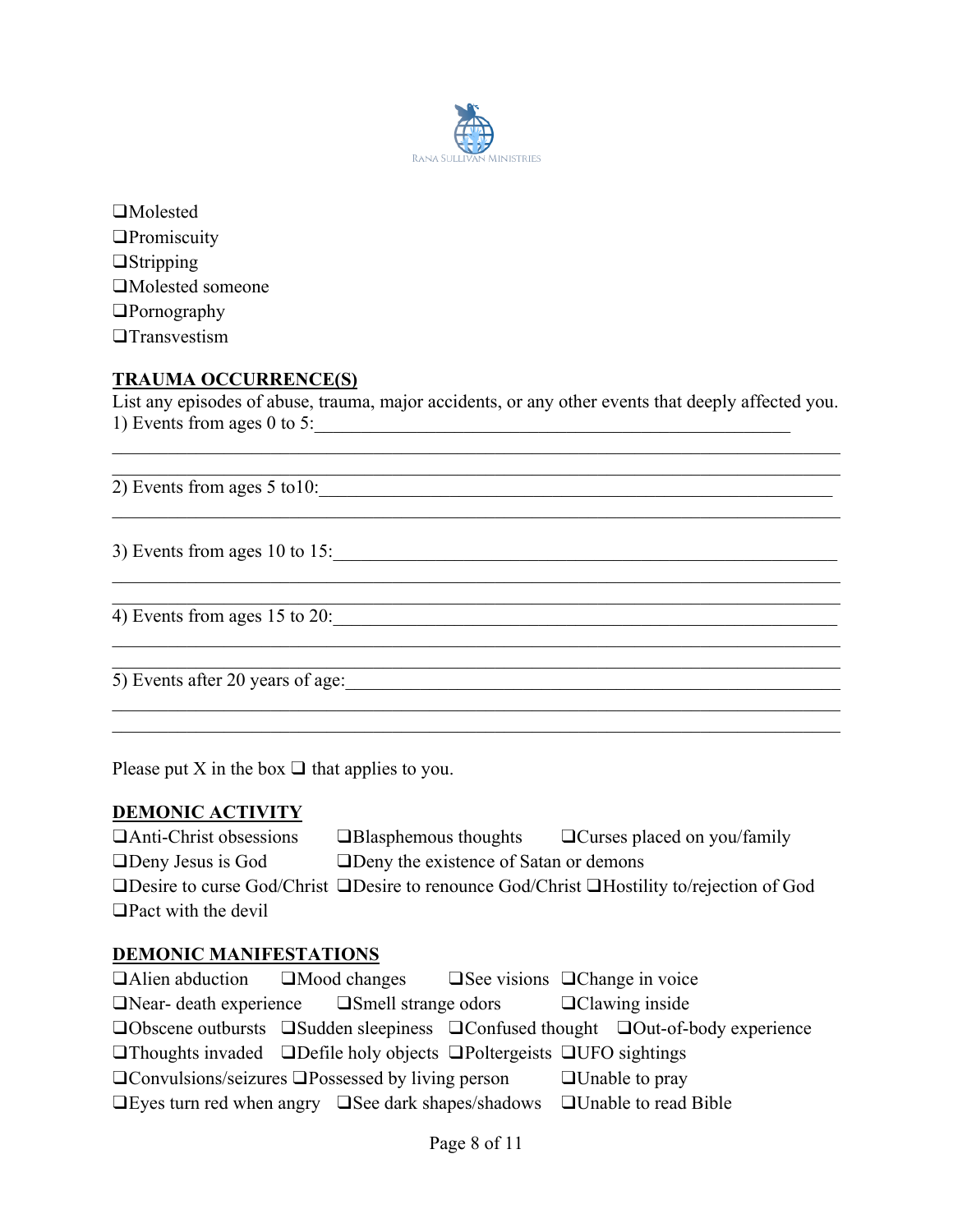

❑Molested ❑Promiscuity ❑Stripping ❑Molested someone ❑Pornography ❑Transvestism

### **TRAUMA OCCURRENCE(S)**

List any episodes of abuse, trauma, major accidents, or any other events that deeply affected you. 1) Events from ages  $0$  to 5:

 $\_$  , and the set of the set of the set of the set of the set of the set of the set of the set of the set of the set of the set of the set of the set of the set of the set of the set of the set of the set of the set of th

 $\overline{2)$  Events from ages 5 to 10:

3) Events from ages 10 to 15:\_\_\_\_\_\_\_\_\_\_\_\_\_\_\_\_\_\_\_\_\_\_\_\_\_\_\_\_\_\_\_\_\_\_\_\_\_\_\_\_\_\_\_\_\_\_\_\_\_\_\_\_\_\_

4) Events from ages  $15$  to  $20$ :

5) Events after 20 years of age:\_\_\_\_\_\_\_\_\_\_\_\_\_\_\_\_\_\_\_\_\_\_\_\_\_\_\_\_\_\_\_\_\_\_\_\_\_\_\_\_\_\_\_\_\_\_\_\_\_\_\_\_\_

Please put X in the box  $\Box$  that applies to you.

#### **DEMONIC ACTIVITY**

| $\Box$ Anti-Christ obsessions | $\Box$ Blasphemous thoughts                   | $\Box$ Curses placed on you/family                                                                          |
|-------------------------------|-----------------------------------------------|-------------------------------------------------------------------------------------------------------------|
| $\Box$ Deny Jesus is God      | <b>ODeny</b> the existence of Satan or demons |                                                                                                             |
|                               |                                               | $\Box$ Desire to curse God/Christ $\Box$ Desire to renounce God/Christ $\Box$ Hostility to/rejection of God |
| $\Box$ Pact with the devil    |                                               |                                                                                                             |

#### **DEMONIC MANIFESTATIONS**

| $\Box$ Alien abduction $\Box$ Mood changes $\Box$ See visions $\Box$ Change in voice        |  |                                                                                                         |
|---------------------------------------------------------------------------------------------|--|---------------------------------------------------------------------------------------------------------|
| $\Box$ Near- death experience $\Box$ Smell strange odors $\Box$ Clawing inside              |  |                                                                                                         |
|                                                                                             |  | $\Box$ Obscene outbursts $\Box$ Sudden sleepiness $\Box$ Confused thought $\Box$ Out-of-body experience |
| $\Box$ Thoughts invaded $\Box$ Defile holy objects $\Box$ Poltergeists $\Box$ UFO sightings |  |                                                                                                         |
| $\Box$ Convulsions/seizures $\Box$ Possessed by living person                               |  | $\Box$ Unable to pray                                                                                   |
| $\Box$ Eyes turn red when angry $\Box$ See dark shapes/shadows $\Box$ Unable to read Bible  |  |                                                                                                         |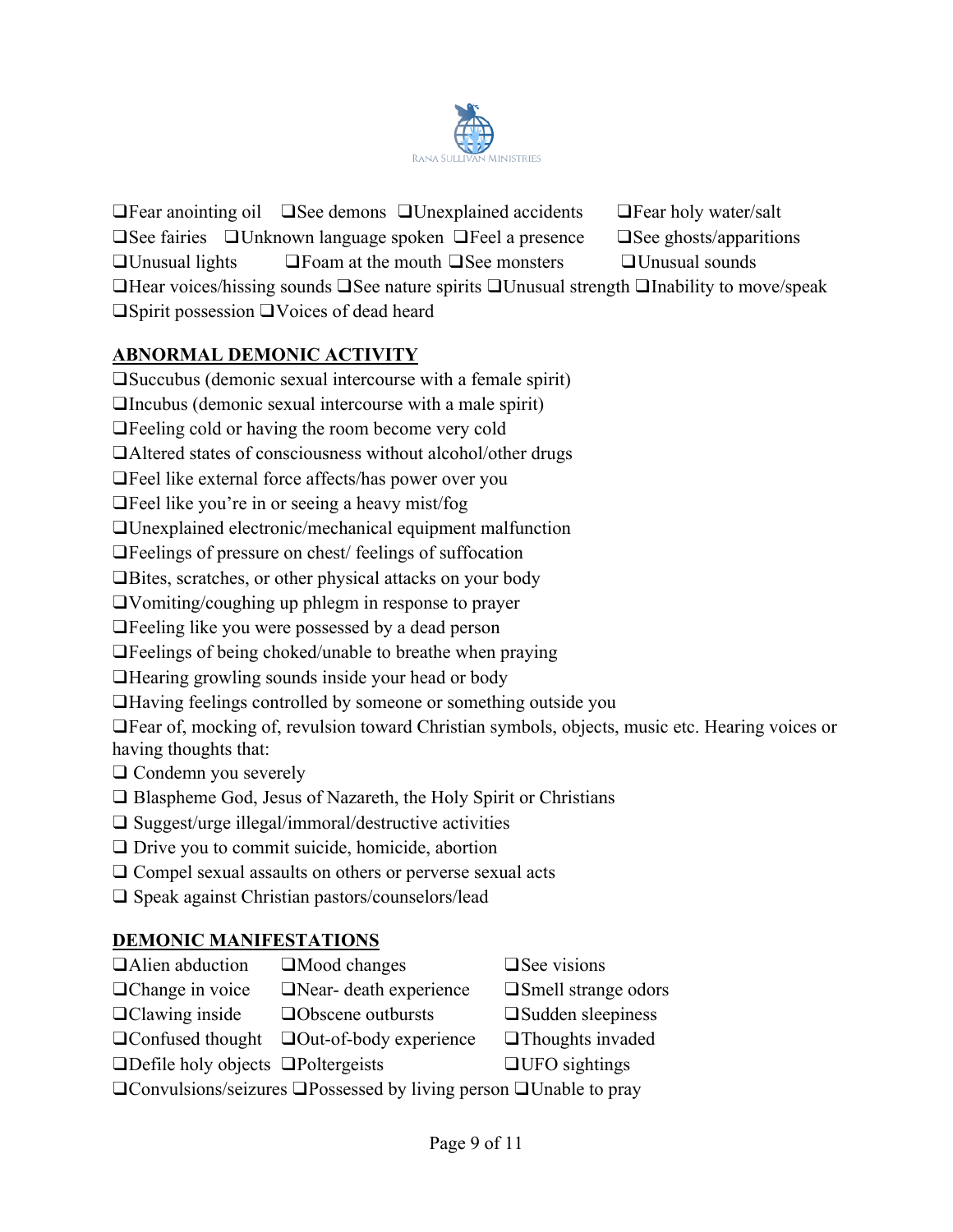

❑Fear anointing oil ❑See demons ❑Unexplained accidents ❑Fear holy water/salt ❑See fairies ❑Unknown language spoken ❑Feel a presence ❑See ghosts/apparitions ❑Unusual lights ❑Foam at the mouth ❑See monsters ❑Unusual sounds ❑Hear voices/hissing sounds ❑See nature spirits ❑Unusual strength ❑Inability to move/speak ❑Spirit possession ❑Voices of dead heard

# **ABNORMAL DEMONIC ACTIVITY**

❑Succubus (demonic sexual intercourse with a female spirit)

❑Incubus (demonic sexual intercourse with a male spirit)

❑Feeling cold or having the room become very cold

❑Altered states of consciousness without alcohol/other drugs

❑Feel like external force affects/has power over you

❑Feel like you're in or seeing a heavy mist/fog

❑Unexplained electronic/mechanical equipment malfunction

❑Feelings of pressure on chest/ feelings of suffocation

❑Bites, scratches, or other physical attacks on your body

❑Vomiting/coughing up phlegm in response to prayer

❑Feeling like you were possessed by a dead person

❑Feelings of being choked/unable to breathe when praying

❑Hearing growling sounds inside your head or body

❑Having feelings controlled by someone or something outside you

❑Fear of, mocking of, revulsion toward Christian symbols, objects, music etc. Hearing voices or having thoughts that:

❑ Condemn you severely

❑ Blaspheme God, Jesus of Nazareth, the Holy Spirit or Christians

- ❑ Suggest/urge illegal/immoral/destructive activities
- ❑ Drive you to commit suicide, homicide, abortion
- ❑ Compel sexual assaults on others or perverse sexual acts
- ❑ Speak against Christian pastors/counselors/lead

## **DEMONIC MANIFESTATIONS**

| □Alien abduction                                                                    | $\Box$ Mood changes      | $\Box$ See visions      |  |
|-------------------------------------------------------------------------------------|--------------------------|-------------------------|--|
| □ Change in voice                                                                   | □Near- death experience  | □Smell strange odors    |  |
| $\Box$ Clawing inside                                                               | $\Box$ Obscene outbursts | □ Sudden sleepiness     |  |
| $\Box$ Confused thought                                                             | □Out-of-body experience  | $\Box$ Thoughts invaded |  |
| $\Box$ Defile holy objects $\Box$ Poltergeists                                      |                          | $\Box$ UFO sightings    |  |
| $\Box$ Convulsions/seizures $\Box$ Possessed by living person $\Box$ Unable to pray |                          |                         |  |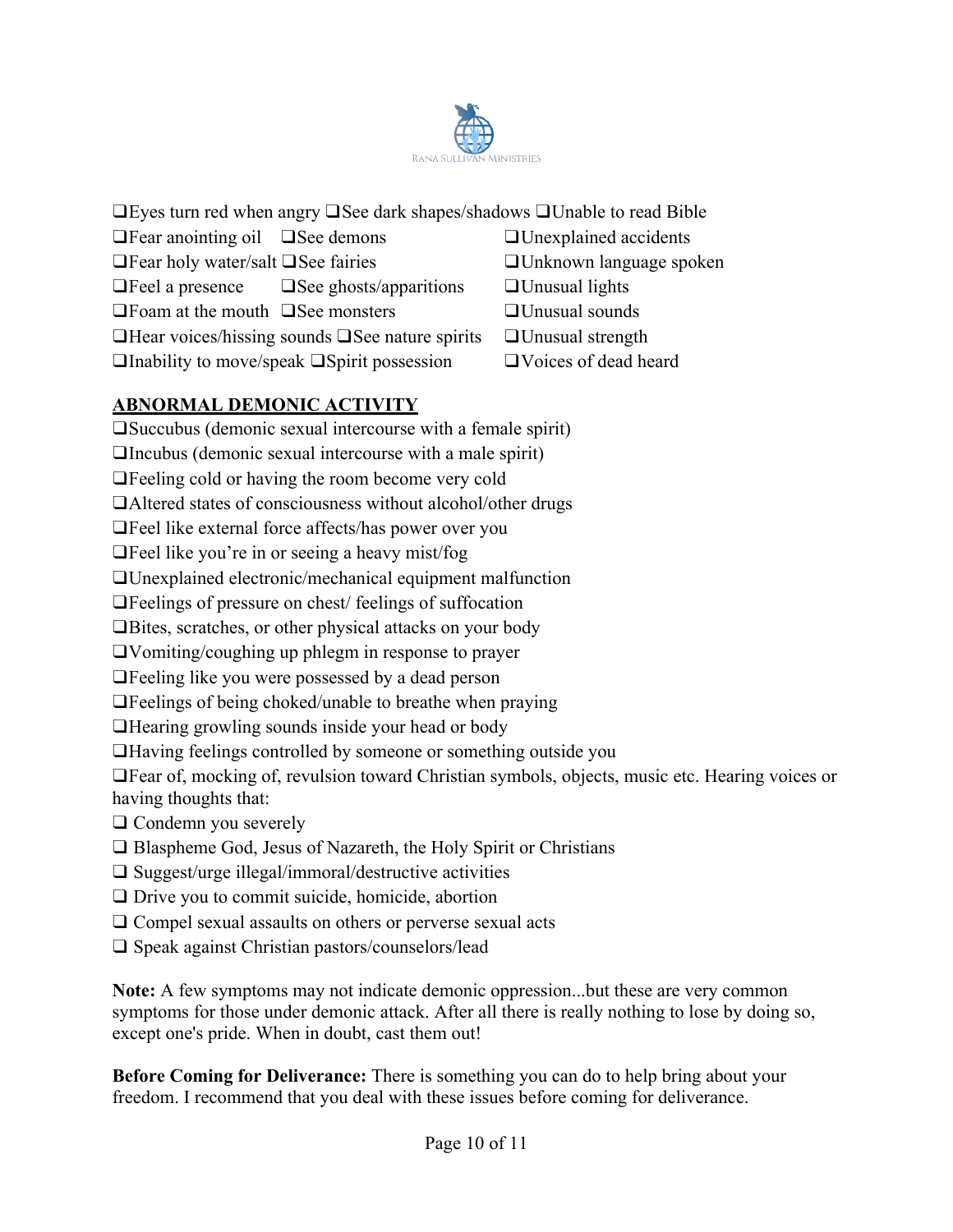

| $\Box$ Eyes turn red when angry $\Box$ See dark shapes/shadows $\Box$ Unable to read Bible |                                                                                     |                                 |  |
|--------------------------------------------------------------------------------------------|-------------------------------------------------------------------------------------|---------------------------------|--|
| $\Box$ Fear anointing oil $\Box$ See demons                                                |                                                                                     | $\Box$ Unexplained accidents    |  |
| $\Box$ Fear holy water/salt $\Box$ See fairies                                             |                                                                                     | <b>OUnknown</b> language spoken |  |
|                                                                                            | $\Box$ Feel a presence $\Box$ See ghosts/apparitions                                | $\Box$ Unusual lights           |  |
| $\Box$ Foam at the mouth $\Box$ See monsters                                               |                                                                                     | $\Box$ Unusual sounds           |  |
|                                                                                            | $\Box$ Hear voices/hissing sounds $\Box$ See nature spirits $\Box$ Unusual strength |                                 |  |
|                                                                                            |                                                                                     |                                 |  |

❑Inability to move/speak ❑Spirit possession ❑Voices of dead heard

# **ABNORMAL DEMONIC ACTIVITY**

❑Succubus (demonic sexual intercourse with a female spirit)

❑Incubus (demonic sexual intercourse with a male spirit)

❑Feeling cold or having the room become very cold

❑Altered states of consciousness without alcohol/other drugs

❑Feel like external force affects/has power over you

❑Feel like you're in or seeing a heavy mist/fog

❑Unexplained electronic/mechanical equipment malfunction

❑Feelings of pressure on chest/ feelings of suffocation

❑Bites, scratches, or other physical attacks on your body

❑Vomiting/coughing up phlegm in response to prayer

❑Feeling like you were possessed by a dead person

❑Feelings of being choked/unable to breathe when praying

❑Hearing growling sounds inside your head or body

❑Having feelings controlled by someone or something outside you

❑Fear of, mocking of, revulsion toward Christian symbols, objects, music etc. Hearing voices or having thoughts that:

❑ Condemn you severely

- ❑ Blaspheme God, Jesus of Nazareth, the Holy Spirit or Christians
- ❑ Suggest/urge illegal/immoral/destructive activities
- ❑ Drive you to commit suicide, homicide, abortion
- ❑ Compel sexual assaults on others or perverse sexual acts
- ❑ Speak against Christian pastors/counselors/lead

**Note:** A few symptoms may not indicate demonic oppression...but these are very common symptoms for those under demonic attack. After all there is really nothing to lose by doing so, except one's pride. When in doubt, cast them out!

**Before Coming for Deliverance:** There is something you can do to help bring about your freedom. I recommend that you deal with these issues before coming for deliverance.